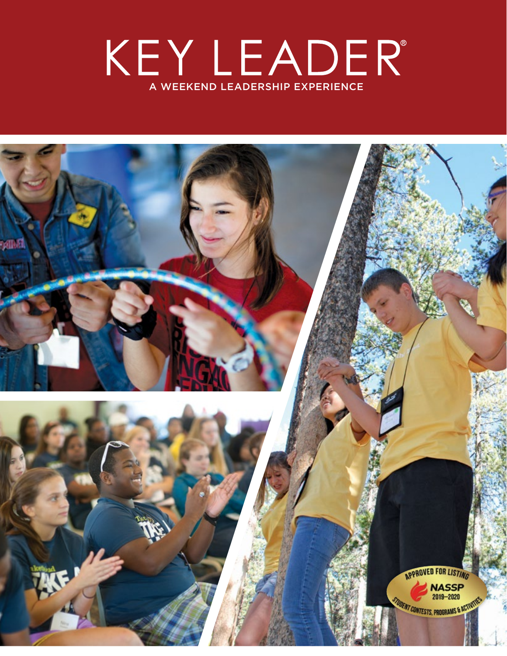# KEYLEADER<sup>®</sup>

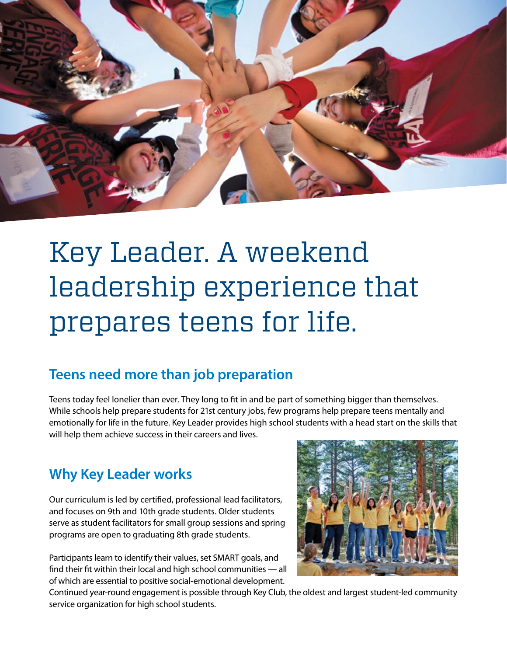

## Key Leader. A weekend leadership experience that prepares teens for life.

#### **Teens need more than job preparation**

Teens today feel lonelier than ever. They long to fit in and be part of something bigger than themselves. While schools help prepare students for 21st century jobs, few programs help prepare teens mentally and emotionally for life in the future. Key Leader provides high school students with a head start on the skills that will help them achieve success in their careers and lives.

#### **Why Key Leader works**

Our curriculum is led by certified, professional lead facilitators, and focuses on 9th and 10th grade students. Older students serve as student facilitators for small group sessions and spring programs are open to graduating 8th grade students.

Participants learn to identify their values, set SMART goals, and find their fit within their local and high school communities — all of which are essential to positive social-emotional development.



Continued year-round engagement is possible through Key Club, the oldest and largest student-led community service organization for high school students.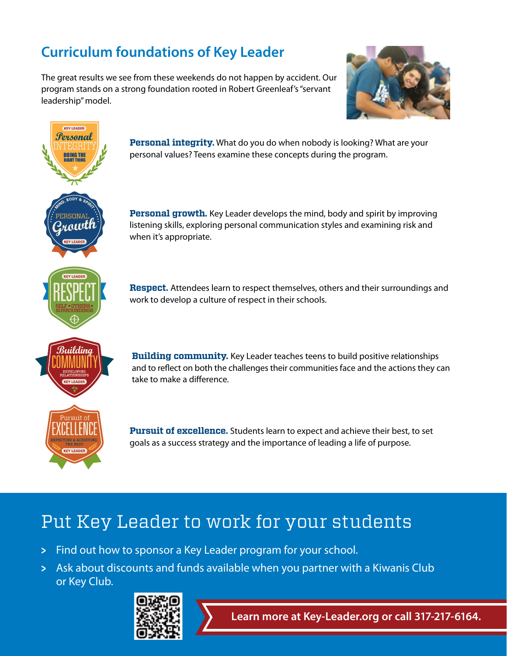#### **Curriculum foundations of Key Leader**

The great results we see from these weekends do not happen by accident. Our program stands on a strong foundation rooted in Robert Greenleaf's "servant leadership" model.





#### Put Key Leader to work for your students

- > Find out how to sponsor a Key Leader program for your school.
- > Ask about discounts and funds available when you partner with a Kiwanis Club or Key Club.



**Learn more at Key-Leader.org or call 317-217-6164.**